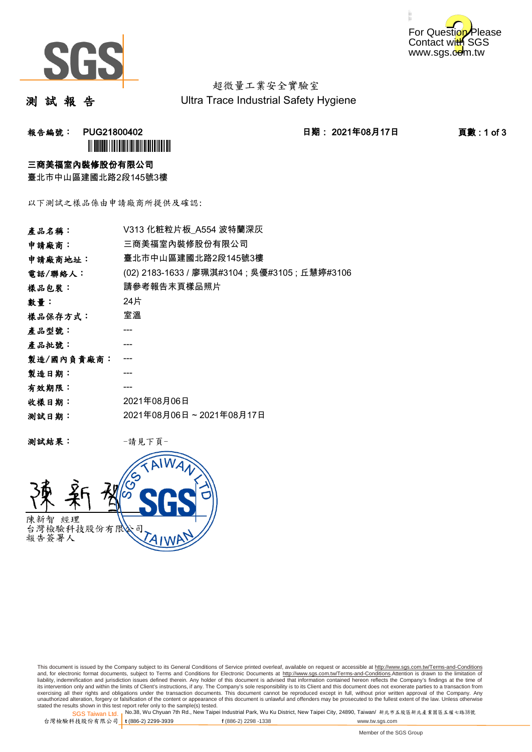



超微量工業安全實驗室 Ultra Trace Industrial Safety Hygiene

測 試 報 告

报告編號: PUG21800402 2021年08月17日 東告編號: 2021年08月17日 東數:1 of 3 **ÌN BUGAL NA BERLANDA DE LA BERLANDA DE LA** 

#### 三商美福室內裝修股份有限公司

臺北市中山區建國北路2段145號3樓

以下測試之樣品係由申請廠商所提供及確認:

| 產品名稱:      | V313 化粧粒片板 A554 波特蘭深灰                          |
|------------|------------------------------------------------|
| 申請廠商:      | 三商美福室內裝修股份有限公司                                 |
| 申請廠商地址:    | 臺北市中山區建國北路2段145號3樓                             |
| 電話/聯絡人:    | (02) 2183-1633 / 廖珮淇#3104 ; 吳優#3105 ; 丘慧婷#3106 |
| 樣品包裝:      | 請參考報告末頁樣品照片                                    |
| 數量:        | 24片                                            |
| 樣品保存方式:    | 室溫                                             |
| 產品型號:      |                                                |
| 產品批號:      |                                                |
| 製造/國內負責廠商: |                                                |
| 製造日期:      |                                                |
| 有效期限:      |                                                |
| 收樣日期:      | 2021年08月06日                                    |
| 测試日期:      | 2021年08月06日~2021年08月17日                        |
|            |                                                |

测試結果: 一請見下頁



This document is issued by the Company subject to its General Conditions of Service printed overleaf, available on request or accessible at http://www.sgs.com.tw/Terms-and-Conditions and, for electronic format documents, subject to Terms and Conditions for Electronic Documents at <u>http://www.sgs.com.tw/Terms-and-Conditions</u>.Attention is drawn to the limitation of<br>liability, indemnification and jurisdic exercising all their rights and obligations under the transaction documents. This document cannot be reproduced except in full, without prior written approval of the Company. Any<br>unauthorized alteration, forgery or falsifi

SGS Taiwan Ltd. 1 stated the results shown in this test report refer only to the sample(s) tested.<br>Stated the results shown in this test report refer only to the sample(s) tested.

台灣檢驗科技股份有限公司

```
t (886-2) 2299-3939 f (886-2) 2298 -1338 www.tw.sgs.com
```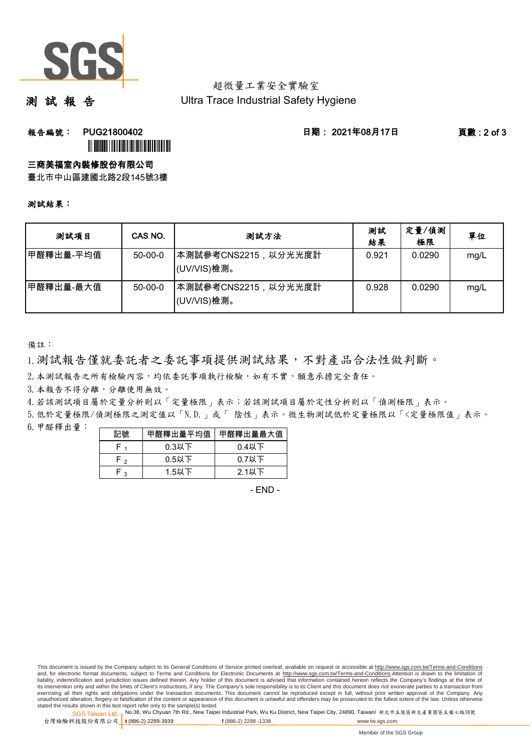

#### 超微量工業安全實驗室 Ultra Trace Industrial Safety Hygiene

測 試 報 告

## **報告編號: PUG21800402 日期: 2021年08月17日 頁數:2 of 3 ÌN BUGAL III DE LA BILIANA DE LA BILIANA DE**

## 三商美福室內裝修股份有限公司

臺北市中山區建國北路2段145號3樓

#### 測試結果:

| 测試項目      | CAS NO.   | 测試方法                                | 測試<br>結果 | 定量/偵測<br>極限 | 單位   |
|-----------|-----------|-------------------------------------|----------|-------------|------|
| 甲醛釋出量-平均值 | $50-00-0$ | 本測試參考CNS2215,以分光光度計 <br>(UV/VIS)檢測。 | 0.921    | 0.0290      | mg/L |
| 甲醛釋出量-最大值 | $50-00-0$ | 本測試參考CNS2215,以分光光度計<br>(UV/VIS)檢測。  | 0.928    | 0.0290      | mg/L |

備註:

1.測試報告僅就委託者之委託事項提供測試結果,不對產品合法性做判斷。

2.本測試報告之所有檢驗內容,均依委託事項執行檢驗,如有不實,願意承擔完全責任。

3. 本報告不得分離,分離使用無效。

4.若該測試項目屬於定量分析則以「定量極限」表示;若該測試項目屬於定性分析則以「偵測極限」表示。

6.甲醛釋出量: 5.低於定量極限/偵測極限之測定值以「N.D.」或「 陰性」表示。微生物測試低於定量極限以「<定量極限值」表示。

| 記號         | 甲醛釋出量平均值 | 甲醛釋出量最大值 |
|------------|----------|----------|
|            | $0.3$ 以下 | 0.4以下    |
| <b>۲</b> ۰ | $0.5$ 以下 | $0.7$ 以下 |
| ່າ         | $1.5$ 以下 | $2.1$ 以下 |

- END -

This document is issued by the Company subject to its General Conditions of Service printed overleaf, available on request or accessible at http://www.sgs.com.tw/Terms-and-Conditions and, for electronic format documents, subject to Terms and Conditions for Electronic Documents at http://www.sgs.com.tw/Terms-and-Conditions.Attention is drawn to the limitation of liability, indemnification and jurisdiction issues defined therein. Any holder of this document is advised that information contained hereon reflects the Company's findings at the time of<br>its intervention only and within t exercising all their rights and obligations under the transaction documents. This document cannot be reproduced except in full, without prior written approval of the Company. Any<br>unauthorized alteration, forgery or falsifi

SGS Taiwan Ltd. 1 stated the results shown in this test report refer only to the sample(s) tested.<br>Stated the results shown in this test report refer only to the sample(s) tested.

台灣檢驗科技股份有限公司

**t** (886-2) 2299-3939 **f** (886-2) 2298 -1338 www.tw.sgs.com